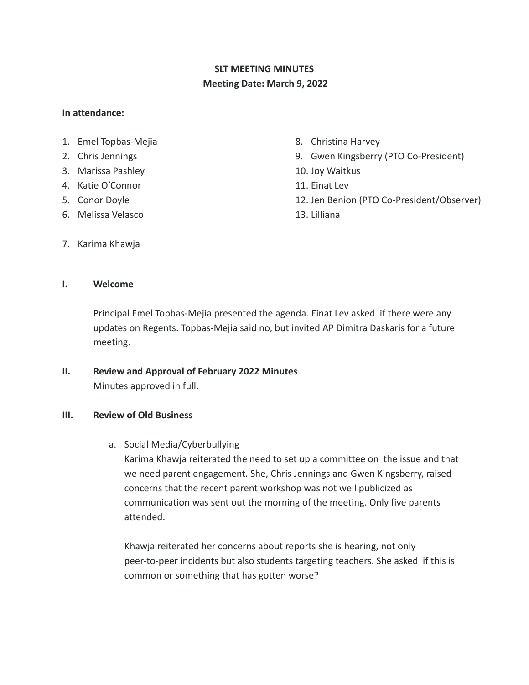# **SLT MEETING MINUTES Meeting Date: March 9, 2022**

#### **In attendance:**

- 1. Emel Topbas-Mejia
- 2. Chris Jennings
- 3. Marissa Pashley
- 4. Katie O'Connor
- 5. Conor Doyle
- 6. Melissa Velasco
- 8. Christina Harvey
- 9. Gwen Kingsberry (PTO Co-President)
- 10. Joy Waitkus
- 11. Einat Lev
- 12. Jen Benion (PTO Co-President/Observer)
- 13. Lilliana

7. Karima Khawja

## **I. Welcome**

Principal Emel Topbas-Mejia presented the agenda. Einat Lev asked if there were any updates on Regents. Topbas-Mejia said no, but invited AP Dimitra Daskaris for a future meeting.

**II. Review and Approval of February 2022 Minutes** Minutes approved in full.

## **III. Review of Old Business**

a. Social Media/Cyberbullying

Karima Khawja reiterated the need to set up a committee on the issue and that we need parent engagement. She, Chris Jennings and Gwen Kingsberry, raised concerns that the recent parent workshop was not well publicized as communication was sent out the morning of the meeting. Only five parents attended.

Khawja reiterated her concerns about reports she is hearing, not only peer-to-peer incidents but also students targeting teachers. She asked if this is common or something that has gotten worse?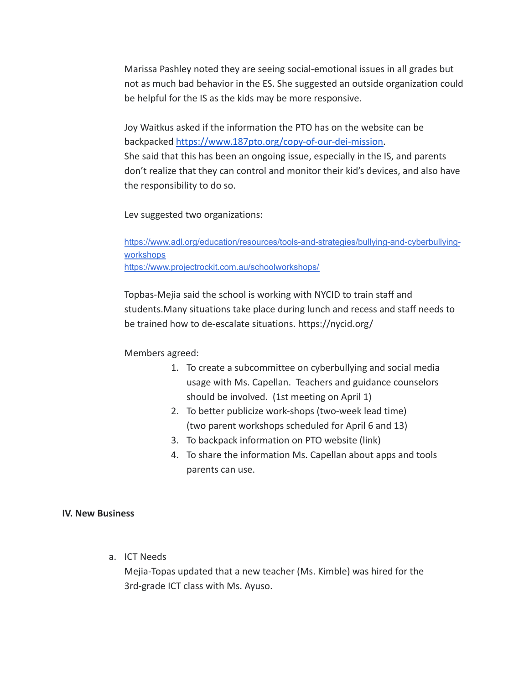Marissa Pashley noted they are seeing social-emotional issues in all grades but not as much bad behavior in the ES. She suggested an outside organization could be helpful for the IS as the kids may be more responsive.

Joy Waitkus asked if the information the PTO has on the website can be backpacked [https://www.187pto.org/copy-of-our-dei-mission.](https://www.187pto.org/copy-of-our-dei-mission) She said that this has been an ongoing issue, especially in the IS, and parents don't realize that they can control and monitor their kid's devices, and also have the responsibility to do so.

Lev suggested two organizations:

[https://www.adl.org/education/resources/tools-and-strategies/bullying-and-cyberbullying](https://www.adl.org/education/resources/tools-and-strategies/bullying-and-cyberbullying-workshops)[workshops](https://www.adl.org/education/resources/tools-and-strategies/bullying-and-cyberbullying-workshops) <https://www.projectrockit.com.au/schoolworkshops/>

Topbas-Mejia said the school is working with NYCID to train staff and students.Many situations take place during lunch and recess and staff needs to be trained how to de-escalate situations. https://nycid.org/

Members agreed:

- 1. To create a subcommittee on cyberbullying and social media usage with Ms. Capellan. Teachers and guidance counselors should be involved. (1st meeting on April 1)
- 2. To better publicize work-shops (two-week lead time) (two parent workshops scheduled for April 6 and 13)
- 3. To backpack information on PTO website (link)
- 4. To share the information Ms. Capellan about apps and tools parents can use.

#### **IV. New Business**

a. ICT Needs

Mejia-Topas updated that a new teacher (Ms. Kimble) was hired for the 3rd-grade ICT class with Ms. Ayuso.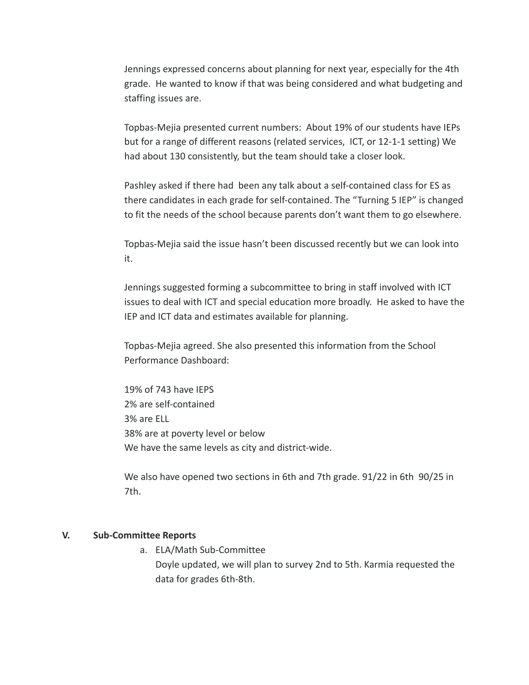Jennings expressed concerns about planning for next year, especially for the 4th grade. He wanted to know if that was being considered and what budgeting and staffing issues are.

Topbas-Mejia presented current numbers: About 19% of our students have IEPs but for a range of different reasons (related services, ICT, or 12-1-1 setting) We had about 130 consistently, but the team should take a closer look.

Pashley asked if there had been any talk about a self-contained class for ES as there candidates in each grade for self-contained. The "Turning 5 IEP" is changed to fit the needs of the school because parents don't want them to go elsewhere.

Topbas-Mejia said the issue hasn't been discussed recently but we can look into it.

Jennings suggested forming a subcommittee to bring in staff involved with ICT issues to deal with ICT and special education more broadly. He asked to have the IEP and ICT data and estimates available for planning.

Topbas-Mejia agreed. She also presented this information from the School Performance Dashboard:

19% of 743 have IEPS 2% are self-contained 3% are ELL 38% are at poverty level or below We have the same levels as city and district-wide.

We also have opened two sections in 6th and 7th grade. 91/22 in 6th 90/25 in 7th.

#### **V. Sub-Committee Reports**

a. ELA/Math Sub-Committee Doyle updated, we will plan to survey 2nd to 5th. Karmia requested the data for grades 6th-8th.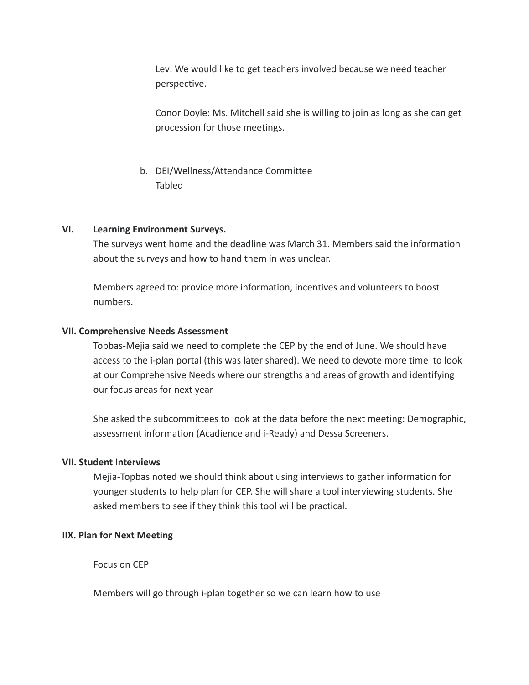Lev: We would like to get teachers involved because we need teacher perspective.

Conor Doyle: Ms. Mitchell said she is willing to join as long as she can get procession for those meetings.

b. DEI/Wellness/Attendance Committee Tabled

#### **VI. Learning Environment Surveys.**

The surveys went home and the deadline was March 31. Members said the information about the surveys and how to hand them in was unclear.

Members agreed to: provide more information, incentives and volunteers to boost numbers.

#### **VII. Comprehensive Needs Assessment**

Topbas-Mejia said we need to complete the CEP by the end of June. We should have access to the i-plan portal (this was later shared). We need to devote more time to look at our Comprehensive Needs where our strengths and areas of growth and identifying our focus areas for next year

She asked the subcommittees to look at the data before the next meeting: Demographic, assessment information (Acadience and i-Ready) and Dessa Screeners.

## **VII. Student Interviews**

Mejia-Topbas noted we should think about using interviews to gather information for younger students to help plan for CEP. She will share a tool interviewing students. She asked members to see if they think this tool will be practical.

## **IIX. Plan for Next Meeting**

Focus on CEP

Members will go through i-plan together so we can learn how to use